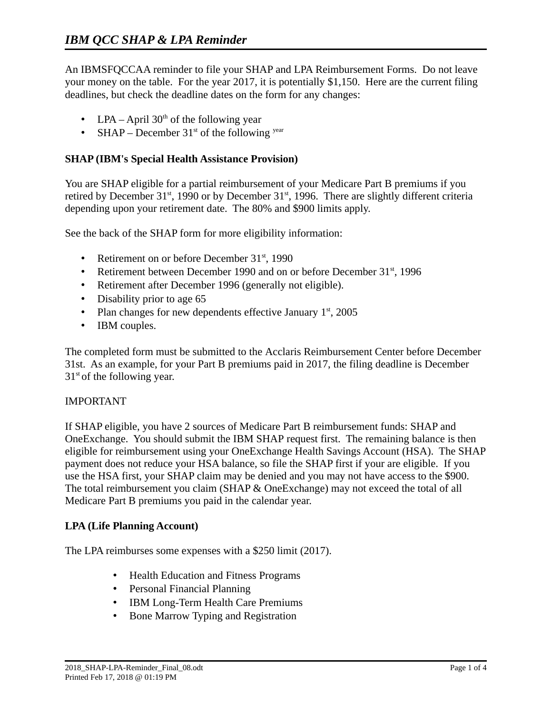An IBMSFQCCAA reminder to file your SHAP and LPA Reimbursement Forms. Do not leave your money on the table. For the year 2017, it is potentially \$1,150. Here are the current filing deadlines, but check the deadline dates on the form for any changes:

- LPA April  $30<sup>th</sup>$  of the following year
- SHAP December  $31<sup>st</sup>$  of the following  $<sup>year</sup>$ </sup>

## **SHAP (IBM's Special Health Assistance Provision)**

You are SHAP eligible for a partial reimbursement of your Medicare Part B premiums if you retired by December  $31<sup>st</sup>$ , 1990 or by December  $31<sup>st</sup>$ , 1996. There are slightly different criteria depending upon your retirement date. The 80% and \$900 limits apply.

See the back of the SHAP form for more eligibility information:

- Retirement on or before December 31<sup>st</sup>, 1990
- Retirement between December 1990 and on or before December 31<sup>st</sup>, 1996
- Retirement after December 1996 (generally not eligible).
- Disability prior to age 65
- Plan changes for new dependents effective January  $1<sup>st</sup>$ , 2005
- IBM couples.

The completed form must be submitted to the Acclaris Reimbursement Center before December 31st. As an example, for your Part B premiums paid in 2017, the filing deadline is December  $31<sup>st</sup>$  of the following year.

## IMPORTANT

If SHAP eligible, you have 2 sources of Medicare Part B reimbursement funds: SHAP and OneExchange. You should submit the IBM SHAP request first. The remaining balance is then eligible for reimbursement using your OneExchange Health Savings Account (HSA). The SHAP payment does not reduce your HSA balance, so file the SHAP first if your are eligible. If you use the HSA first, your SHAP claim may be denied and you may not have access to the \$900. The total reimbursement you claim (SHAP & OneExchange) may not exceed the total of all Medicare Part B premiums you paid in the calendar year.

## **LPA (Life Planning Account)**

The LPA reimburses some expenses with a \$250 limit (2017).

- Health Education and Fitness Programs
- Personal Financial Planning
- IBM Long-Term Health Care Premiums
- Bone Marrow Typing and Registration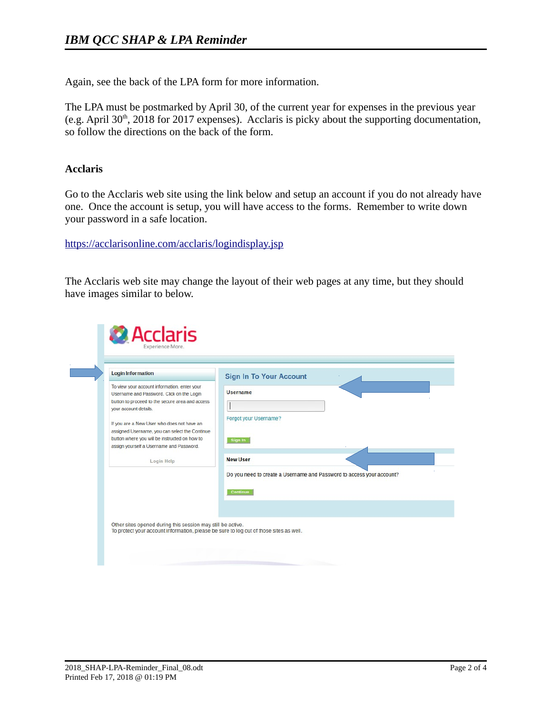Again, see the back of the LPA form for more information.

The LPA must be postmarked by April 30, of the current year for expenses in the previous year (e.g. April 30<sup>th</sup>, 2018 for 2017 expenses). Acclaris is picky about the supporting documentation, so follow the directions on the back of the form.

## **Acclaris**

Go to the Acclaris web site using the link below and setup an account if you do not already have one. Once the account is setup, you will have access to the forms. Remember to write down your password in a safe location.

<https://acclarisonline.com/acclaris/logindisplay.jsp>

The Acclaris web site may change the layout of their web pages at any time, but they should have images similar to below.

| Do you need to create a Username and Password to access your account? |
|-----------------------------------------------------------------------|
|                                                                       |
|                                                                       |
|                                                                       |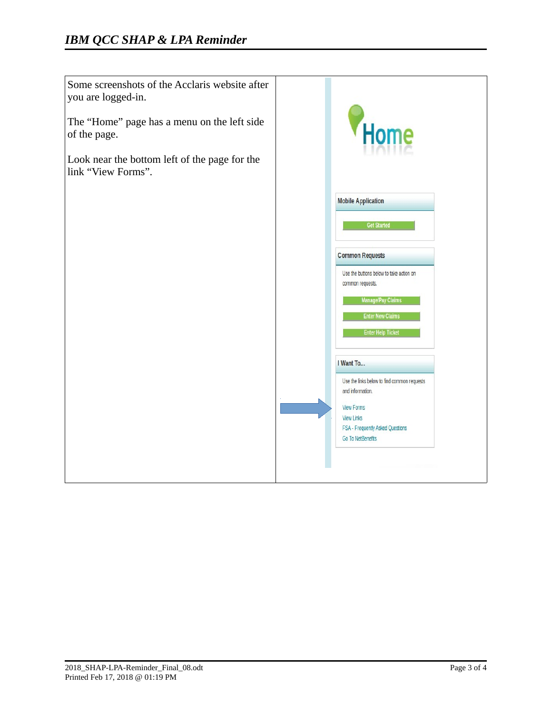